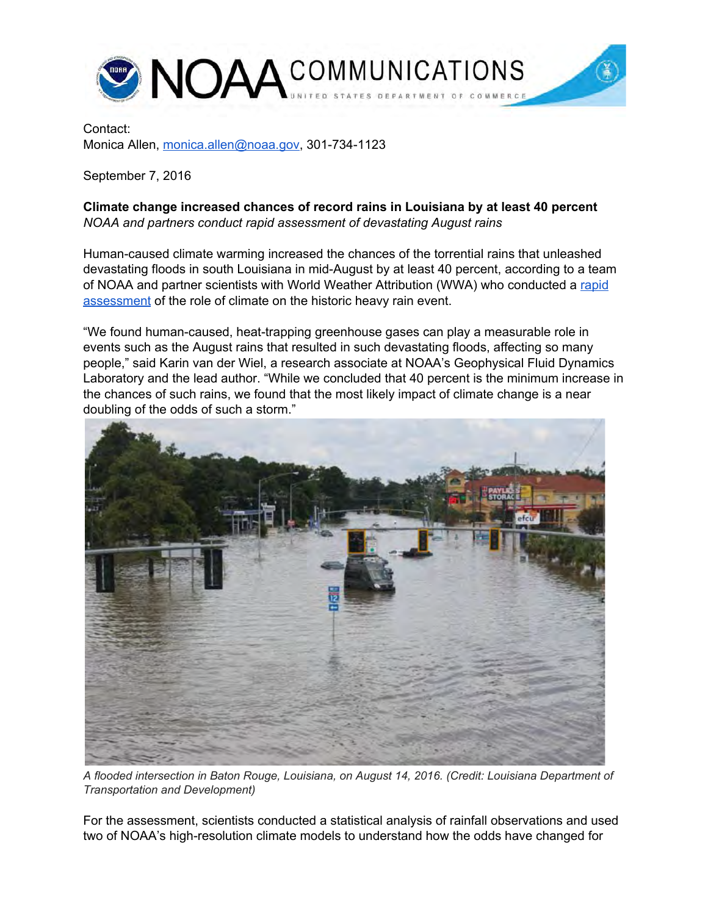

Contact: Monica Allen, [monica.allen@noaa.gov,](mailto:monica.allen@noaa.gov) 301-734-1123

September 7, 2016

## **Climate change increased chances of record rains in Louisiana by at least 40 percent** *NOAA and partners conduct rapid assessment of devastating August rains*

Human-caused climate warming increased the chances of the torrential rains that unleashed devastating floods in south Louisiana in mid-August by at least 40 percent, according to a team of NOAA and partner scientists with World Weather Attribution (WWA) who conducted a [rapid](https://worldweatherattribution.wordpress.com/?page_id=637&preview=true) [assessment](https://worldweatherattribution.wordpress.com/?page_id=637&preview=true) of the role of climate on the historic heavy rain event.

"We found human-caused, heat-trapping greenhouse gases can play a measurable role in events such as the August rains that resulted in such devastating floods, affecting so many people," said Karin van der Wiel, a research associate at NOAA's Geophysical Fluid Dynamics Laboratory and the lead author. "While we concluded that 40 percent is the minimum increase in the chances of such rains, we found that the most likely impact of climate change is a near doubling of the odds of such a storm."



*A flooded intersection in Baton Rouge, Louisiana, on August 14, 2016. (Credit: Louisiana Department of Transportation and Development)*

For the assessment, scientists conducted a statistical analysis of rainfall observations and used two of NOAA's high-resolution climate models to understand how the odds have changed for